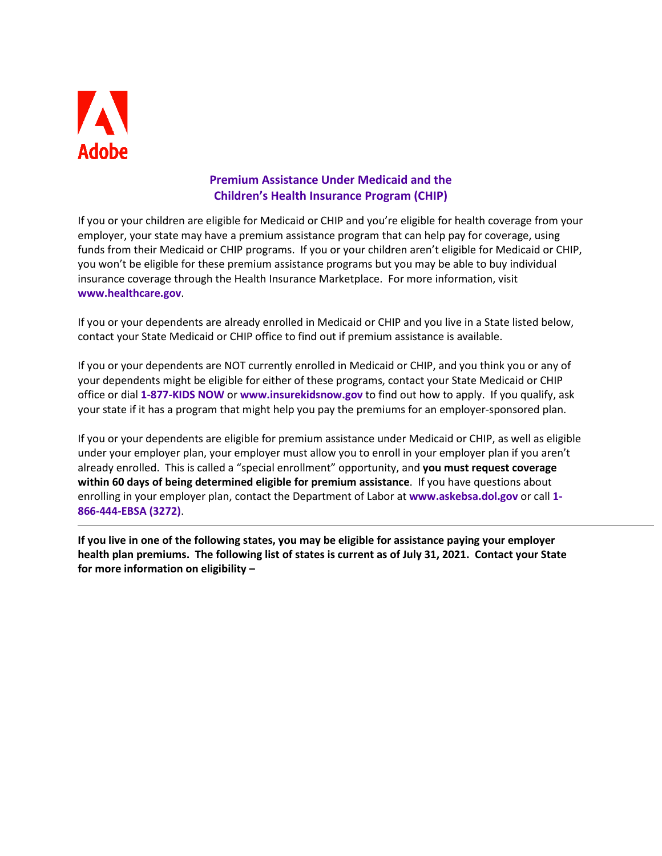

## **Premium Assistance Under Medicaid and the Children's Health Insurance Program (CHIP)**

If you or your children are eligible for Medicaid or CHIP and you're eligible for health coverage from your employer, your state may have a premium assistance program that can help pay for coverage, using funds from their Medicaid or CHIP programs. If you or your children aren't eligible for Medicaid or CHIP, you won't be eligible for these premium assistance programs but you may be able to buy individual insurance coverage through the Health Insurance Marketplace. For more information, visit **[www.healthcare.gov](http://www.healthcare.gov/)**.

If you or your dependents are already enrolled in Medicaid or CHIP and you live in a State listed below, contact your State Medicaid or CHIP office to find out if premium assistance is available.

If you or your dependents are NOT currently enrolled in Medicaid or CHIP, and you think you or any of your dependents might be eligible for either of these programs, contact your State Medicaid or CHIP office or dial **1-877-KIDS NOW** or **[www.insurekidsnow.gov](http://www.insurekidsnow.gov/)** to find out how to apply. If you qualify, ask your state if it has a program that might help you pay the premiums for an employer-sponsored plan.

If you or your dependents are eligible for premium assistance under Medicaid or CHIP, as well as eligible under your employer plan, your employer must allow you to enroll in your employer plan if you aren't already enrolled. This is called a "special enrollment" opportunity, and **you must request coverage within 60 days of being determined eligible for premium assistance**. If you have questions about enrolling in your employer plan, contact the Department of Labor at **[www.askebsa.dol.gov](http://www.askebsa.dol.gov/)** or call **1- 866-444-EBSA (3272)**.

**If you live in one of the following states, you may be eligible for assistance paying your employer health plan premiums. The following list of states is current as of July 31, 2021. Contact your State for more information on eligibility –**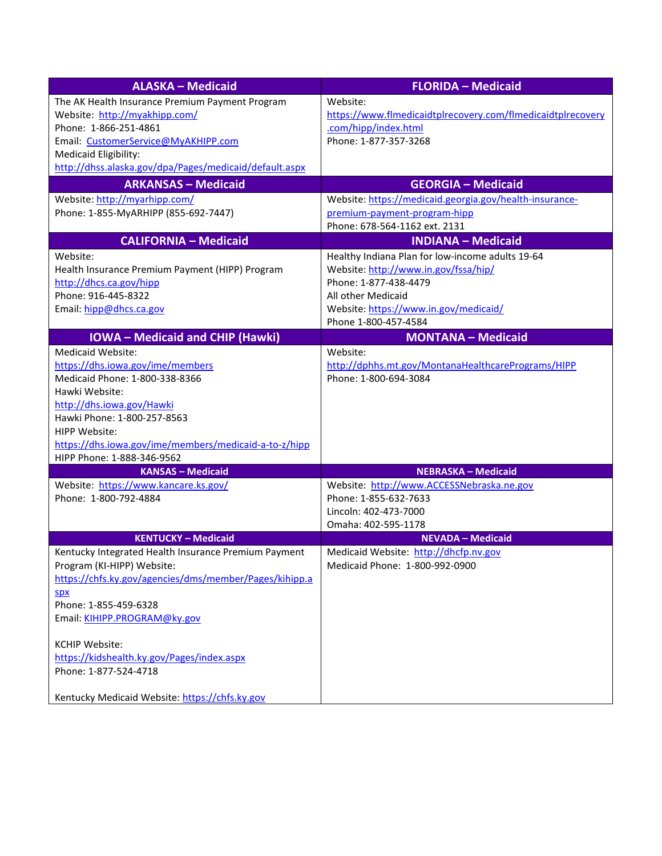| <b>ALASKA - Medicaid</b>                               | <b>FLORIDA - Medicaid</b>                                   |
|--------------------------------------------------------|-------------------------------------------------------------|
| The AK Health Insurance Premium Payment Program        | Website:                                                    |
| Website: http://myakhipp.com/                          | https://www.flmedicaidtplrecovery.com/flmedicaidtplrecovery |
| Phone: 1-866-251-4861                                  | .com/hipp/index.html                                        |
| Email: CustomerService@MyAKHIPP.com                    | Phone: 1-877-357-3268                                       |
| Medicaid Eligibility:                                  |                                                             |
| http://dhss.alaska.gov/dpa/Pages/medicaid/default.aspx |                                                             |
| <b>ARKANSAS - Medicaid</b>                             | <b>GEORGIA - Medicaid</b>                                   |
| Website: http://myarhipp.com/                          | Website: https://medicaid.georgia.gov/health-insurance-     |
| Phone: 1-855-MyARHIPP (855-692-7447)                   | premium-payment-program-hipp                                |
|                                                        | Phone: 678-564-1162 ext. 2131                               |
| <b>CALIFORNIA - Medicaid</b>                           | <b>INDIANA - Medicaid</b>                                   |
| Website:                                               | Healthy Indiana Plan for low-income adults 19-64            |
| Health Insurance Premium Payment (HIPP) Program        | Website: http://www.in.gov/fssa/hip/                        |
| http://dhcs.ca.gov/hipp<br>Phone: 916-445-8322         | Phone: 1-877-438-4479                                       |
|                                                        | All other Medicaid<br>Website: https://www.in.gov/medicaid/ |
| Email: hipp@dhcs.ca.gov                                | Phone 1-800-457-4584                                        |
| <b>IOWA - Medicaid and CHIP (Hawki)</b>                | <b>MONTANA - Medicaid</b>                                   |
| Medicaid Website:                                      | Website:                                                    |
| https://dhs.iowa.gov/ime/members                       | http://dphhs.mt.gov/MontanaHealthcarePrograms/HIPP          |
| Medicaid Phone: 1-800-338-8366                         | Phone: 1-800-694-3084                                       |
| Hawki Website:                                         |                                                             |
| http://dhs.iowa.gov/Hawki                              |                                                             |
| Hawki Phone: 1-800-257-8563                            |                                                             |
| <b>HIPP Website:</b>                                   |                                                             |
| https://dhs.iowa.gov/ime/members/medicaid-a-to-z/hipp  |                                                             |
| HIPP Phone: 1-888-346-9562                             |                                                             |
| <b>KANSAS - Medicaid</b>                               | <b>NEBRASKA - Medicaid</b>                                  |
| Website: https://www.kancare.ks.gov/                   | Website: http://www.ACCESSNebraska.ne.gov                   |
| Phone: 1-800-792-4884                                  | Phone: 1-855-632-7633                                       |
|                                                        | Lincoln: 402-473-7000                                       |
| <b>KENTUCKY - Medicaid</b>                             | Omaha: 402-595-1178<br><b>NEVADA - Medicaid</b>             |
| Kentucky Integrated Health Insurance Premium Payment   | Medicaid Website: http://dhcfp.nv.gov                       |
| Program (KI-HIPP) Website:                             | Medicaid Phone: 1-800-992-0900                              |
| https://chfs.ky.gov/agencies/dms/member/Pages/kihipp.a |                                                             |
| <b>Spx</b>                                             |                                                             |
| Phone: 1-855-459-6328                                  |                                                             |
| Email: KIHIPP.PROGRAM@ky.gov                           |                                                             |
|                                                        |                                                             |
| <b>KCHIP Website:</b>                                  |                                                             |
| https://kidshealth.ky.gov/Pages/index.aspx             |                                                             |
| Phone: 1-877-524-4718                                  |                                                             |
| Kentucky Medicaid Website: https://chfs.ky.gov         |                                                             |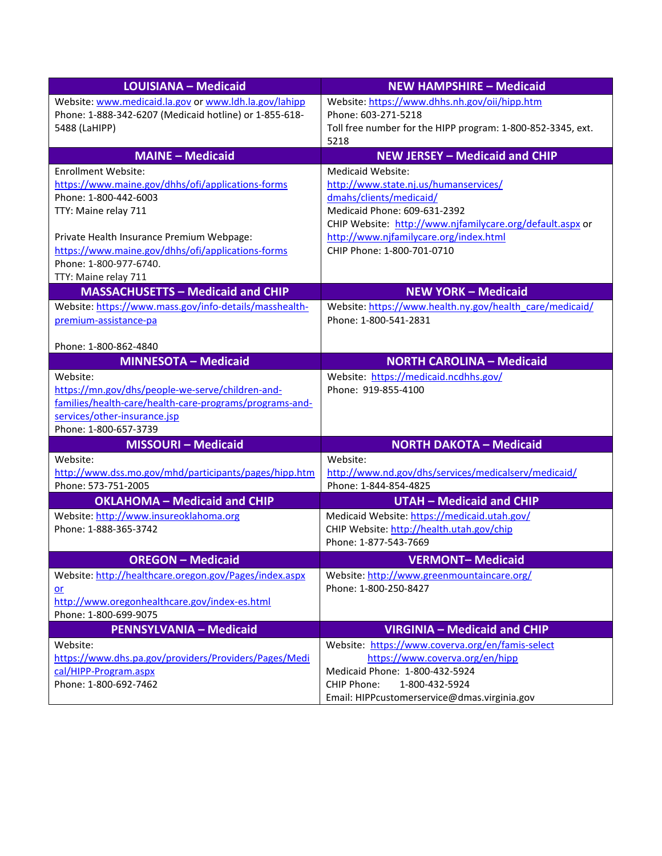| <b>LOUISIANA - Medicaid</b>                                                                                 | <b>NEW HAMPSHIRE - Medicaid</b>                             |
|-------------------------------------------------------------------------------------------------------------|-------------------------------------------------------------|
| Website: www.medicaid.la.gov or www.ldh.la.gov/lahipp                                                       | Website: https://www.dhhs.nh.gov/oii/hipp.htm               |
| Phone: 1-888-342-6207 (Medicaid hotline) or 1-855-618-                                                      | Phone: 603-271-5218                                         |
| 5488 (LaHIPP)                                                                                               | Toll free number for the HIPP program: 1-800-852-3345, ext. |
|                                                                                                             | 5218                                                        |
| <b>MAINE - Medicaid</b>                                                                                     | <b>NEW JERSEY - Medicaid and CHIP</b>                       |
| <b>Enrollment Website:</b>                                                                                  | Medicaid Website:                                           |
| https://www.maine.gov/dhhs/ofi/applications-forms                                                           | http://www.state.nj.us/humanservices/                       |
| Phone: 1-800-442-6003                                                                                       | dmahs/clients/medicaid/                                     |
| TTY: Maine relay 711                                                                                        | Medicaid Phone: 609-631-2392                                |
|                                                                                                             | CHIP Website: http://www.njfamilycare.org/default.aspx or   |
| Private Health Insurance Premium Webpage:                                                                   | http://www.njfamilycare.org/index.html                      |
| https://www.maine.gov/dhhs/ofi/applications-forms                                                           | CHIP Phone: 1-800-701-0710                                  |
| Phone: 1-800-977-6740.                                                                                      |                                                             |
| TTY: Maine relay 711                                                                                        |                                                             |
| <b>MASSACHUSETTS - Medicaid and CHIP</b>                                                                    | <b>NEW YORK - Medicaid</b>                                  |
| Website: https://www.mass.gov/info-details/masshealth-                                                      | Website: https://www.health.ny.gov/health_care/medicaid/    |
| premium-assistance-pa                                                                                       | Phone: 1-800-541-2831                                       |
|                                                                                                             |                                                             |
| Phone: 1-800-862-4840<br><b>MINNESOTA - Medicaid</b>                                                        | <b>NORTH CAROLINA - Medicaid</b>                            |
|                                                                                                             |                                                             |
| Website:                                                                                                    | Website: https://medicaid.ncdhhs.gov/                       |
| https://mn.gov/dhs/people-we-serve/children-and-<br>families/health-care/health-care-programs/programs-and- | Phone: 919-855-4100                                         |
| services/other-insurance.jsp                                                                                |                                                             |
| Phone: 1-800-657-3739                                                                                       |                                                             |
| <b>MISSOURI - Medicaid</b>                                                                                  | <b>NORTH DAKOTA - Medicaid</b>                              |
| Website:                                                                                                    | Website:                                                    |
| http://www.dss.mo.gov/mhd/participants/pages/hipp.htm                                                       | http://www.nd.gov/dhs/services/medicalserv/medicaid/        |
| Phone: 573-751-2005                                                                                         | Phone: 1-844-854-4825                                       |
| <b>OKLAHOMA - Medicaid and CHIP</b>                                                                         | <b>UTAH - Medicaid and CHIP</b>                             |
| Website: http://www.insureoklahoma.org                                                                      | Medicaid Website: https://medicaid.utah.gov/                |
| Phone: 1-888-365-3742                                                                                       | CHIP Website: http://health.utah.gov/chip                   |
|                                                                                                             | Phone: 1-877-543-7669                                       |
| <b>OREGON - Medicaid</b>                                                                                    | <b>VERMONT-Medicaid</b>                                     |
| Website: http://healthcare.oregon.gov/Pages/index.aspx                                                      | Website: http://www.greenmountaincare.org/                  |
| $or$                                                                                                        | Phone: 1-800-250-8427                                       |
| http://www.oregonhealthcare.gov/index-es.html                                                               |                                                             |
| Phone: 1-800-699-9075                                                                                       |                                                             |
| <b>PENNSYLVANIA - Medicaid</b>                                                                              | <b>VIRGINIA - Medicaid and CHIP</b>                         |
| Website:                                                                                                    | Website: https://www.coverva.org/en/famis-select            |
| https://www.dhs.pa.gov/providers/Providers/Pages/Medi                                                       | https://www.coverva.org/en/hipp                             |
| cal/HIPP-Program.aspx                                                                                       | Medicaid Phone: 1-800-432-5924                              |
| Phone: 1-800-692-7462                                                                                       | CHIP Phone:<br>1-800-432-5924                               |
|                                                                                                             | Email: HIPPcustomerservice@dmas.virginia.gov                |